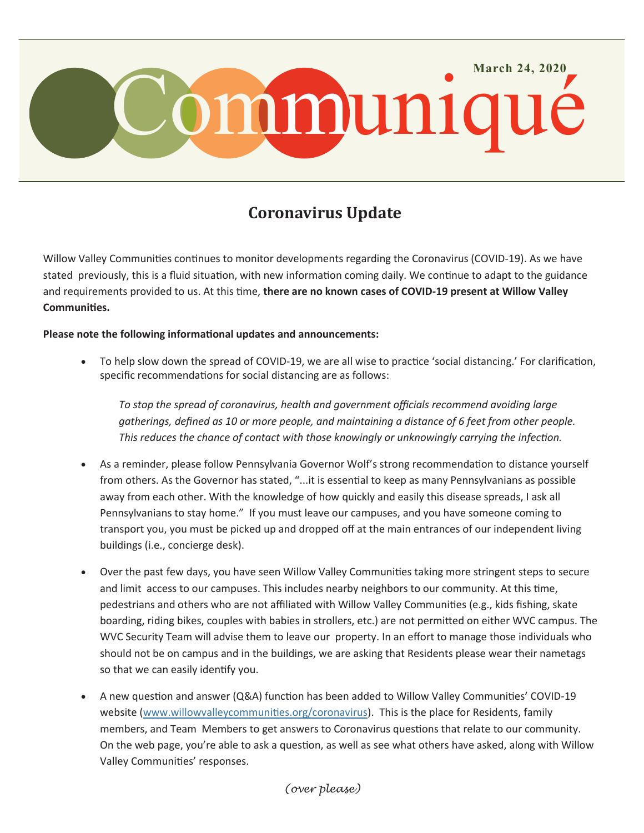

## **Coronavirus Update**

Willow Valley Communities continues to monitor developments regarding the Coronavirus (COVID-19). As we have stated previously, this is a fluid situation, with new information coming daily. We continue to adapt to the guidance and requirements provided to us. At this time, **there are no known cases of COVID-19 present at Willow Valley Communities.**

**Please note the following informational updates and announcements:**

 To help slow down the spread of COVID-19, we are all wise to practice 'social distancing.' For clarification, specific recommendations for social distancing are as follows:

*To stop the spread of coronavirus, health and government officials recommend avoiding large gatherings, defined as 10 or more people, and maintaining a distance of 6 feet from other people. This reduces the chance of contact with those knowingly or unknowingly carrying the infection.*

- As a reminder, please follow Pennsylvania Governor Wolf's strong recommendation to distance yourself from others. As the Governor has stated, "...it is essential to keep as many Pennsylvanians as possible away from each other. With the knowledge of how quickly and easily this disease spreads, I ask all Pennsylvanians to stay home." If you must leave our campuses, and you have someone coming to transport you, you must be picked up and dropped off at the main entrances of our independent living buildings (i.e., concierge desk).
- Over the past few days, you have seen Willow Valley Communities taking more stringent steps to secure and limit access to our campuses. This includes nearby neighbors to our community. At this time, pedestrians and others who are not affiliated with Willow Valley Communities (e.g., kids fishing, skate boarding, riding bikes, couples with babies in strollers, etc.) are not permitted on either WVC campus. The WVC Security Team will advise them to leave our property. In an effort to manage those individuals who should not be on campus and in the buildings, we are asking that Residents please wear their nametags so that we can easily identify you.
- A new question and answer (Q&A) function has been added to Willow Valley Communities' COVID-19 website (www.willowvalleycommunities.org/coronavirus). This is the place for Residents, family members, and Team Members to get answers to Coronavirus questions that relate to our community. On the web page, you're able to ask a question, as well as see what others have asked, along with Willow Valley Communities' responses.